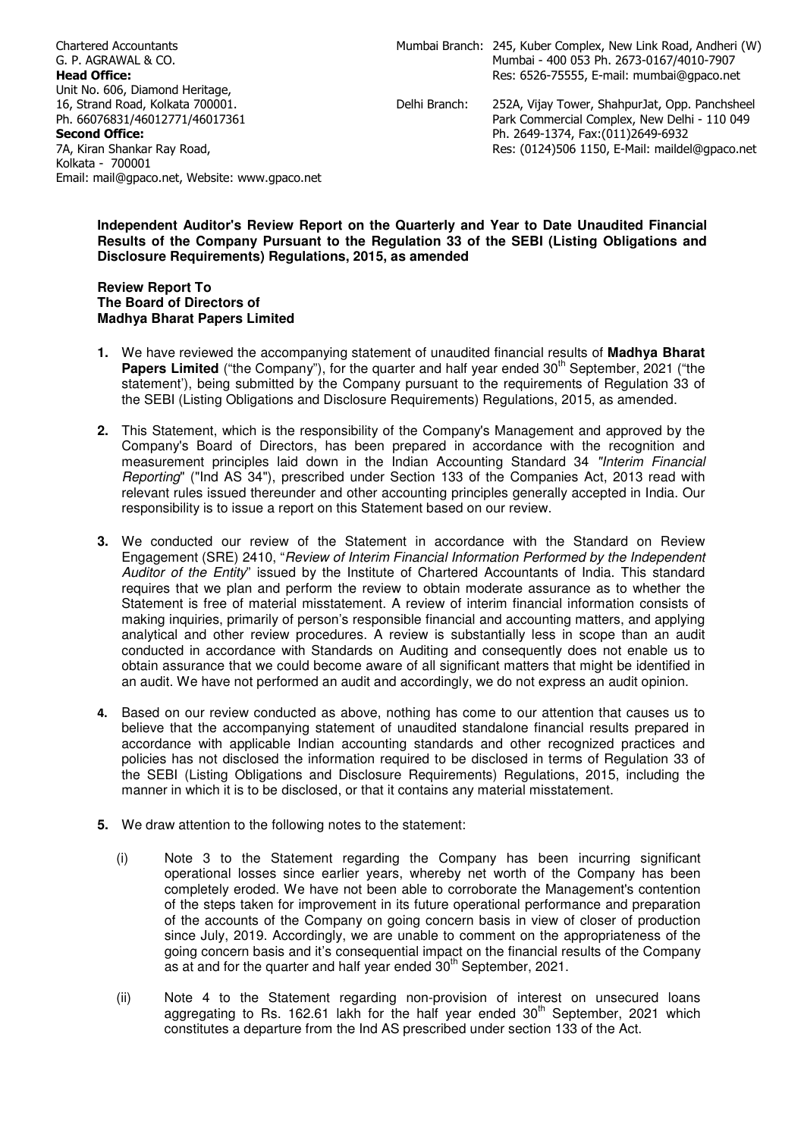Chartered Accountants G. P. AGRAWAL & CO. Head Office: Unit No. 606, Diamond Heritage, 16, Strand Road, Kolkata 700001. Ph. 66076831/46012771/46017361 Second Office: 7A, Kiran Shankar Ray Road, Kolkata - 700001 Email: mail@gpaco.net, Website: www.gpaco.net

 Park Commercial Complex, New Delhi - 110 049 Ph. 2649-1374, Fax:(011)2649-6932 Res: (0124)506 1150, E-Mail: maildel@gpaco.net

# **Independent Auditor's Review Report on the Quarterly and Year to Date Unaudited Financial Results of the Company Pursuant to the Regulation 33 of the SEBI (Listing Obligations and Disclosure Requirements) Regulations, 2015, as amended**

# **Review Report To The Board of Directors of Madhya Bharat Papers Limited**

- **1.** We have reviewed the accompanying statement of unaudited financial results of **Madhya Bharat Papers Limited** ("the Company"), for the quarter and half year ended 30<sup>th</sup> September, 2021 ("the statement'), being submitted by the Company pursuant to the requirements of Regulation 33 of the SEBI (Listing Obligations and Disclosure Requirements) Regulations, 2015, as amended.
- **2.** This Statement, which is the responsibility of the Company's Management and approved by the Company's Board of Directors, has been prepared in accordance with the recognition and measurement principles laid down in the Indian Accounting Standard 34 "Interim Financial Reporting" ("Ind AS 34"), prescribed under Section 133 of the Companies Act, 2013 read with relevant rules issued thereunder and other accounting principles generally accepted in India. Our responsibility is to issue a report on this Statement based on our review.
- **3.** We conducted our review of the Statement in accordance with the Standard on Review Engagement (SRE) 2410, "Review of Interim Financial Information Performed by the Independent Auditor of the Entity" issued by the Institute of Chartered Accountants of India. This standard requires that we plan and perform the review to obtain moderate assurance as to whether the Statement is free of material misstatement. A review of interim financial information consists of making inquiries, primarily of person's responsible financial and accounting matters, and applying analytical and other review procedures. A review is substantially less in scope than an audit conducted in accordance with Standards on Auditing and consequently does not enable us to obtain assurance that we could become aware of all significant matters that might be identified in an audit. We have not performed an audit and accordingly, we do not express an audit opinion.
- 4. Based on our review conducted as above, nothing has come to our attention that causes us to believe that the accompanying statement of unaudited standalone financial results prepared in accordance with applicable Indian accounting standards and other recognized practices and policies has not disclosed the information required to be disclosed in terms of Regulation 33 of the SEBI (Listing Obligations and Disclosure Requirements) Regulations, 2015, including the manner in which it is to be disclosed, or that it contains any material misstatement.
- **5.** We draw attention to the following notes to the statement:
	- (i) Note 3 to the Statement regarding the Company has been incurring significant operational losses since earlier years, whereby net worth of the Company has been completely eroded. We have not been able to corroborate the Management's contention of the steps taken for improvement in its future operational performance and preparation of the accounts of the Company on going concern basis in view of closer of production since July, 2019. Accordingly, we are unable to comment on the appropriateness of the going concern basis and it's consequential impact on the financial results of the Company as at and for the quarter and half year ended 30<sup>th</sup> September, 2021.
	- (ii) Note 4 to the Statement regarding non-provision of interest on unsecured loans aggregating to Rs. 162.61 lakh for the half year ended  $30<sup>th</sup>$  September, 2021 which constitutes a departure from the Ind AS prescribed under section 133 of the Act.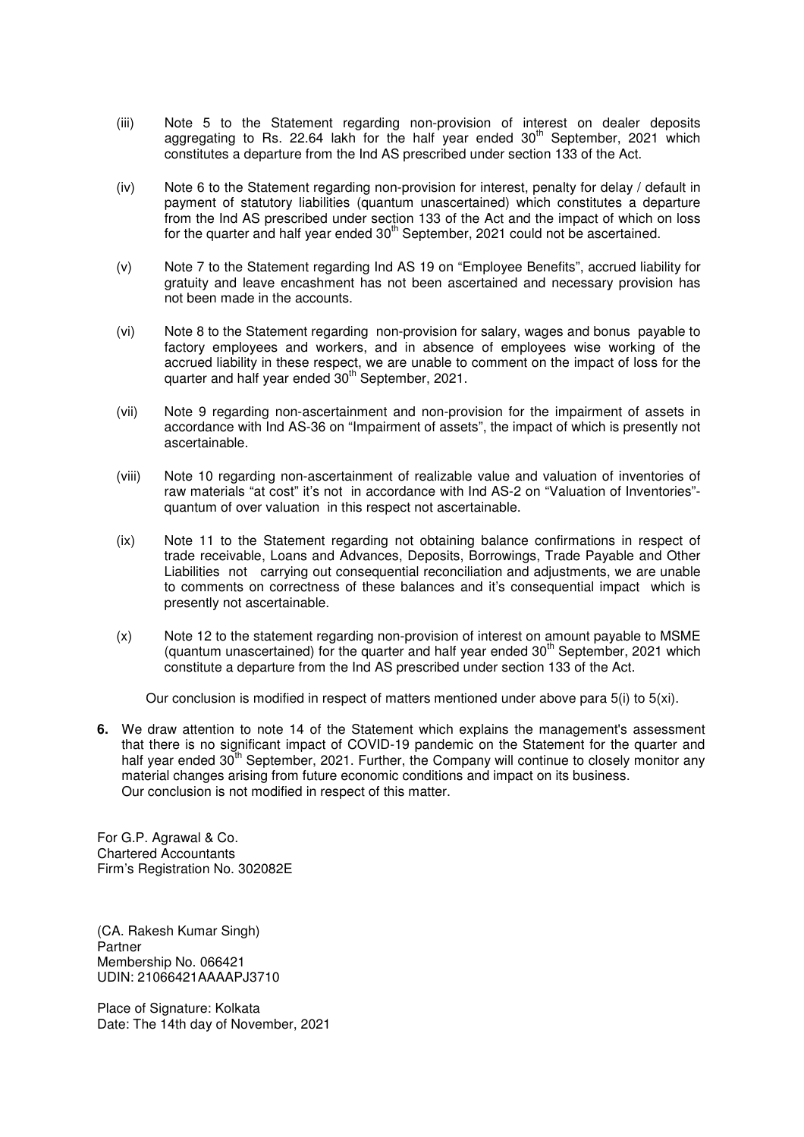- (iii) Note 5 to the Statement regarding non-provision of interest on dealer deposits aggregating to Rs. 22.64 lakh for the half year ended 30<sup>th</sup> September, 2021 which constitutes a departure from the Ind AS prescribed under section 133 of the Act.
- (iv) Note 6 to the Statement regarding non-provision for interest, penalty for delay / default in payment of statutory liabilities (quantum unascertained) which constitutes a departure from the Ind AS prescribed under section 133 of the Act and the impact of which on loss for the quarter and half year ended  $30<sup>th</sup>$  September, 2021 could not be ascertained.
- (v) Note 7 to the Statement regarding Ind AS 19 on "Employee Benefits", accrued liability for gratuity and leave encashment has not been ascertained and necessary provision has not been made in the accounts.
- (vi) Note 8 to the Statement regarding non-provision for salary, wages and bonus payable to factory employees and workers, and in absence of employees wise working of the accrued liability in these respect, we are unable to comment on the impact of loss for the quarter and half year ended 30<sup>th</sup> September, 2021.
- (vii) Note 9 regarding non-ascertainment and non-provision for the impairment of assets in accordance with Ind AS-36 on "Impairment of assets", the impact of which is presently not ascertainable.
- (viii) Note 10 regarding non-ascertainment of realizable value and valuation of inventories of raw materials "at cost" it's not in accordance with Ind AS-2 on "Valuation of Inventories" quantum of over valuation in this respect not ascertainable.
- (ix) Note 11 to the Statement regarding not obtaining balance confirmations in respect of trade receivable, Loans and Advances, Deposits, Borrowings, Trade Payable and Other Liabilities not carrying out consequential reconciliation and adjustments, we are unable to comments on correctness of these balances and it's consequential impact which is presently not ascertainable.
- (x) Note 12 to the statement regarding non-provision of interest on amount payable to MSME (quantum unascertained) for the quarter and half year ended  $30<sup>th</sup>$  September, 2021 which constitute a departure from the Ind AS prescribed under section 133 of the Act.

Our conclusion is modified in respect of matters mentioned under above para 5(i) to 5(xi).

**6.** We draw attention to note 14 of the Statement which explains the management's assessment that there is no significant impact of COVID-19 pandemic on the Statement for the quarter and half year ended  $30<sup>th</sup>$  September, 2021. Further, the Company will continue to closely monitor any material changes arising from future economic conditions and impact on its business. Our conclusion is not modified in respect of this matter.

For G.P. Agrawal & Co. Chartered Accountants Firm's Registration No. 302082E

(CA. Rakesh Kumar Singh) Partner Membership No. 066421 UDIN: 21066421AAAAPJ3710

Place of Signature: Kolkata Date: The 14th day of November, 2021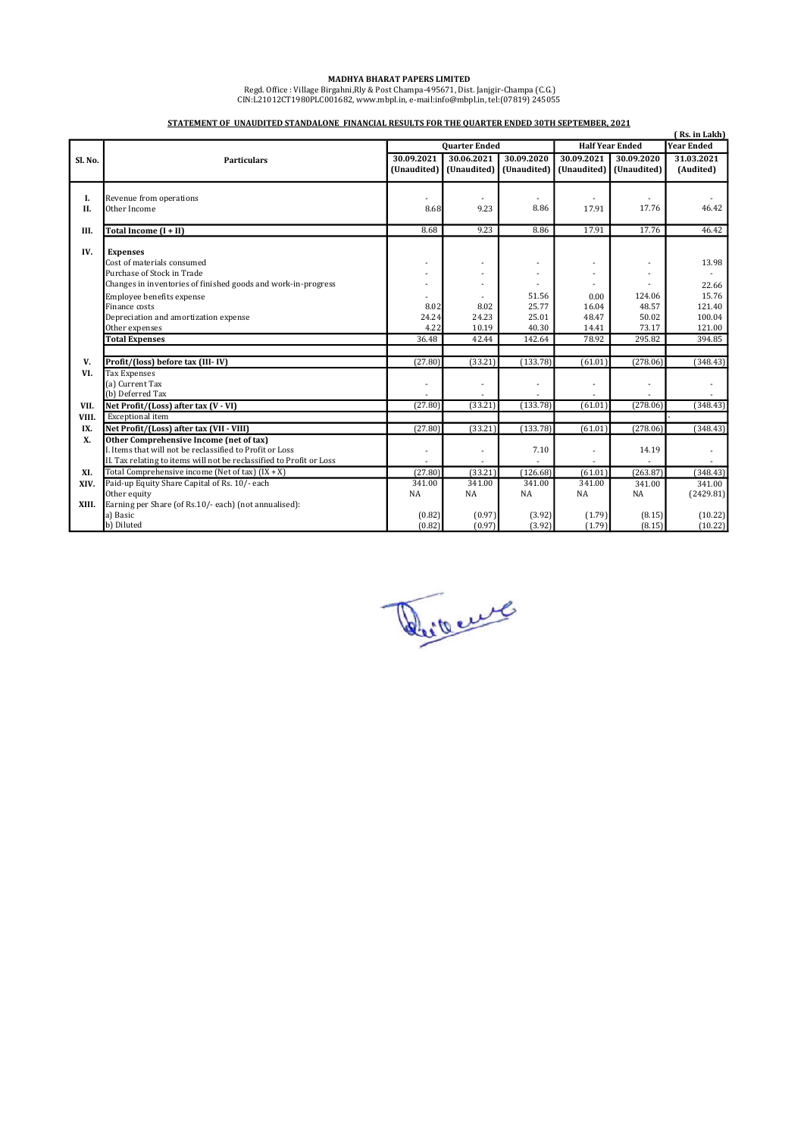MADHYA BHARAT PAPERS LIMITED<br>Regd. Office : Village Birgahni,Rly & Post Champa-495671, Dist. Janjgir-Champa (C.G.)<br>CIN:L21012CT1980PLC001682, www.mbpl.in, e-mail:info@mbpl.in, tel:(07819) 245055

|          | Rs. in Lakh)                                                         |                      |                |             |                        |                          |                |  |
|----------|----------------------------------------------------------------------|----------------------|----------------|-------------|------------------------|--------------------------|----------------|--|
|          |                                                                      | <b>Quarter Ended</b> |                |             | <b>Half Year Ended</b> |                          | Year Ended     |  |
| Sl. No.  | <b>Particulars</b>                                                   | 30.09.2021           | 30.06.2021     | 30.09.2020  | 30.09.2021             | 30.09.2020               | 31.03.2021     |  |
|          |                                                                      | (Unaudited)          | (Unaudited)    | (Unaudited) | (Unaudited)            | (Unaudited)              | (Audited)      |  |
|          |                                                                      |                      |                |             |                        |                          |                |  |
|          |                                                                      |                      |                |             |                        |                          |                |  |
| I.<br>Н. | Revenue from operations<br>Other Income                              | 8.68                 | 9.23           | 8.86        | 17.91                  | 17.76                    | 46.42          |  |
|          |                                                                      |                      |                |             |                        |                          |                |  |
| III.     | Total Income $(I + II)$                                              | 8.68                 | 9.23           | 8.86        | 17.91                  | 17.76                    | 46.42          |  |
|          |                                                                      |                      |                |             |                        |                          |                |  |
| IV.      | <b>Expenses</b>                                                      |                      |                |             |                        |                          |                |  |
|          | Cost of materials consumed                                           | ٠                    |                |             |                        | $\overline{\phantom{a}}$ | 13.98          |  |
|          | Purchase of Stock in Trade                                           |                      |                |             |                        |                          |                |  |
|          | Changes in inventories of finished goods and work-in-progress        |                      |                |             |                        |                          | 22.66          |  |
|          | Employee benefits expense                                            |                      |                | 51.56       | 0.00                   | 124.06                   | 15.76          |  |
|          | Finance costs                                                        | 8.02                 | 8.02           | 25.77       | 16.04                  | 48.57                    | 121.40         |  |
|          | Depreciation and amortization expense                                | 24.24                | 24.23          | 25.01       | 48.47                  | 50.02                    | 100.04         |  |
|          | Other expenses                                                       | 4.22                 | 10.19          | 40.30       | 14.41                  | 73.17                    | 121.00         |  |
|          | <b>Total Expenses</b>                                                | 36.48                | 42.44          | 142.64      | 78.92                  | 295.82                   | 394.85         |  |
|          |                                                                      |                      |                |             |                        |                          |                |  |
| V.       | Profit/(loss) before tax (III-IV)                                    | (27.80)              | (33.21)        | (133.78)    | (61.01)                | (278.06)                 | (348.43)       |  |
| VI.      | <b>Tax Expenses</b>                                                  |                      |                |             |                        |                          |                |  |
|          | (a) Current Tax                                                      | $\ddot{\phantom{1}}$ | $\overline{a}$ |             | <u>. .</u>             | ä,                       | $\overline{a}$ |  |
|          | (b) Deferred Tax                                                     |                      |                |             |                        |                          |                |  |
| VII.     | Net Profit/(Loss) after tax (V - VI)                                 | (27.80)              | (33.21)        | (133.78)    | (61.01)                | (278.06)                 | (348.43)       |  |
| VIII.    | Exceptional item                                                     |                      |                |             |                        |                          |                |  |
| IX.      | Net Profit/(Loss) after tax (VII - VIII)                             | (27.80)              | (33.21)        | (133.78)    | (61.01)                | (278.06)                 | (348.43)       |  |
| X.       | Other Comprehensive Income (net of tax)                              |                      |                |             |                        |                          |                |  |
|          | I. Items that will not be reclassified to Profit or Loss             | ٠                    |                | 7.10        |                        | 14.19                    |                |  |
|          | II. Tax relating to items will not be reclassified to Profit or Loss |                      |                |             |                        |                          |                |  |
| XI.      | Total Comprehensive income (Net of tax) $(IX + X)$                   | (27.80)              | (33.21)        | (126.68)    | (61.01)                | (263.87)                 | (348.43)       |  |
| XIV.     | Paid-up Equity Share Capital of Rs. 10/- each                        | 341.00               | 341.00         | 341.00      | 341.00                 | 341.00                   | 341.00         |  |
|          | Other equity                                                         | NA                   | NA             | <b>NA</b>   | NA                     | NA                       | (2429.81)      |  |
| XIII.    | Earning per Share (of Rs.10/- each) (not annualised):                |                      |                |             |                        |                          |                |  |
|          | a) Basic                                                             | (0.82)               | (0.97)         | (3.92)      | (1.79)                 | (8.15)                   | (10.22)        |  |
|          | b) Diluted                                                           | (0.82)               | (0.97)         | (3.92)      | (1.79)                 | (8.15)                   | (10.22)        |  |

## STATEMENT OF UNAUDITED STANDALONE FINANCIAL RESULTS FOR THE QUARTER ENDED 30TH SEPTEMBER, 2021

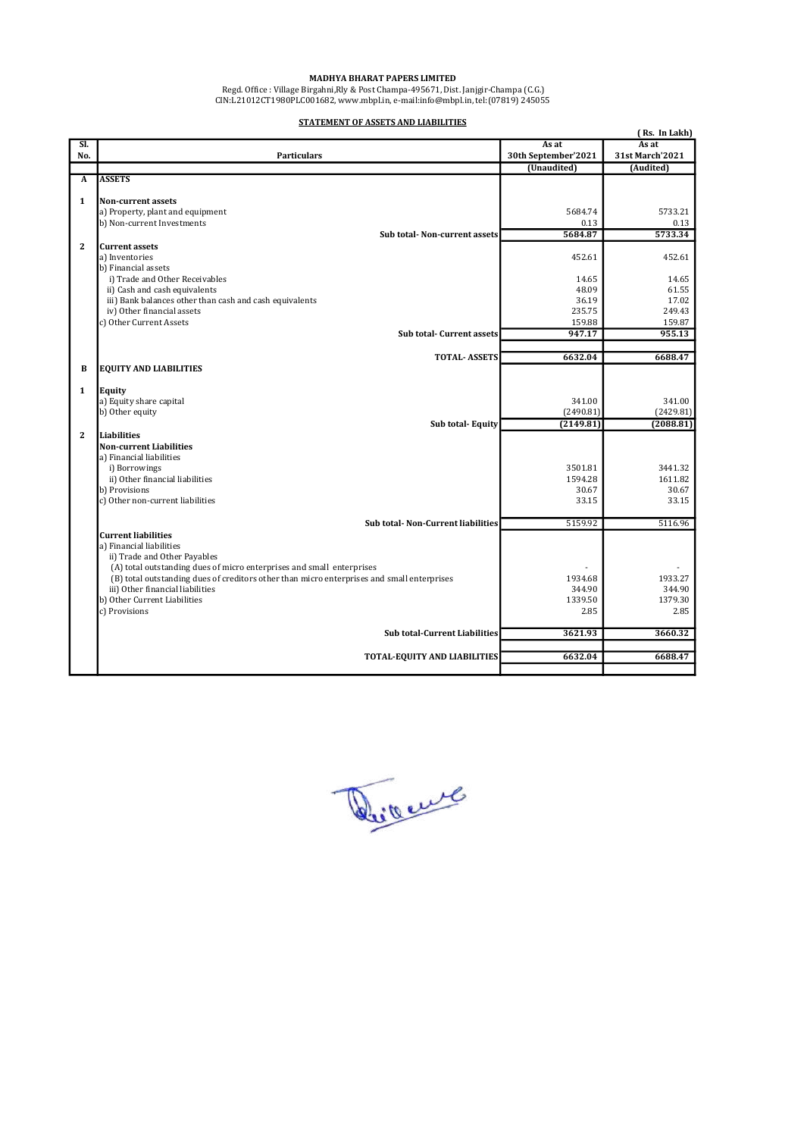#### MADHYA BHARAT PAPERS LIMITED

 Regd. Office : Village Birgahni,Rly & Post Champa-495671, Dist. Janjgir-Champa (C.G.) CIN:L21012CT1980PLC001682, www.mbpl.in, e-mail:info@mbpl.in, tel:(07819) 245055

STATEMENT OF ASSETS AND LIABILITIES

|                |                                                                                                                                                                     |                     | (Rs. In Lakh)   |
|----------------|---------------------------------------------------------------------------------------------------------------------------------------------------------------------|---------------------|-----------------|
| Sl.            |                                                                                                                                                                     | As at               | As at           |
| No.            | <b>Particulars</b>                                                                                                                                                  | 30th September'2021 | 31st March'2021 |
|                |                                                                                                                                                                     | (Unaudited)         | (Audited)       |
| A              | <b>ASSETS</b>                                                                                                                                                       |                     |                 |
|                |                                                                                                                                                                     |                     |                 |
| $\mathbf{1}$   | <b>Non-current assets</b>                                                                                                                                           | 5684.74             | 5733.21         |
|                | a) Property, plant and equipment<br>b) Non-current Investments                                                                                                      | 0.13                | 0.13            |
|                | Sub total-Non-current assets                                                                                                                                        | 5684.87             | 5733.34         |
| $\mathbf{2}$   | <b>Current assets</b>                                                                                                                                               |                     |                 |
|                | a) Inventories                                                                                                                                                      | 452.61              | 452.61          |
|                | b) Financial assets                                                                                                                                                 |                     |                 |
|                | i) Trade and Other Receivables                                                                                                                                      | 14.65               | 14.65           |
|                | ii) Cash and cash equivalents                                                                                                                                       | 48.09               | 61.55           |
|                | iii) Bank balances other than cash and cash equivalents                                                                                                             | 36.19               | 17.02           |
|                | iv) Other financial assets                                                                                                                                          | 235.75              | 249.43          |
|                | c) Other Current Assets                                                                                                                                             | 159.88              | 159.87          |
|                | <b>Sub total- Current assets</b>                                                                                                                                    | 947.17              | 955.13          |
|                |                                                                                                                                                                     |                     |                 |
|                | <b>TOTAL- ASSETS</b>                                                                                                                                                | 6632.04             | 6688.47         |
| B              | <b>EQUITY AND LIABILITIES</b>                                                                                                                                       |                     |                 |
|                |                                                                                                                                                                     |                     |                 |
| $\mathbf{1}$   | Equity                                                                                                                                                              | 341.00              | 341.00          |
|                | a) Equity share capital<br>b) Other equity                                                                                                                          | (2490.81)           | (2429.81)       |
|                | Sub total-Equity                                                                                                                                                    | (2149.81)           | (2088.81)       |
| $\overline{2}$ | Liabilities                                                                                                                                                         |                     |                 |
|                | <b>Non-current Liabilities</b>                                                                                                                                      |                     |                 |
|                | a) Financial liabilities                                                                                                                                            |                     |                 |
|                | i) Borrowings                                                                                                                                                       | 3501.81             | 3441.32         |
|                | ii) Other financial liabilities                                                                                                                                     | 1594.28             | 1611.82         |
|                | b) Provisions                                                                                                                                                       | 30.67               | 30.67           |
|                | c) Other non-current liabilities                                                                                                                                    | 33.15               | 33.15           |
|                |                                                                                                                                                                     |                     |                 |
|                | Sub total- Non-Current liabilities                                                                                                                                  | 5159.92             | 5116.96         |
|                | <b>Current liabilities</b>                                                                                                                                          |                     |                 |
|                | a) Financial liabilities                                                                                                                                            |                     |                 |
|                | ii) Trade and Other Payables                                                                                                                                        |                     |                 |
|                | (A) total outstanding dues of micro enterprises and small enterprises<br>(B) total outstanding dues of creditors other than micro enterprises and small enterprises | 1934.68             | 1933.27         |
|                | iii) Other financial liabilities                                                                                                                                    | 344.90              | 344.90          |
|                | b) Other Current Liabilities                                                                                                                                        | 1339.50             | 1379.30         |
|                | c) Provisions                                                                                                                                                       | 2.85                | 2.85            |
|                |                                                                                                                                                                     |                     |                 |
|                | <b>Sub total-Current Liabilities</b>                                                                                                                                | 3621.93             | 3660.32         |
|                |                                                                                                                                                                     |                     |                 |
|                | TOTAL-EQUITY AND LIABILITIES                                                                                                                                        | 6632.04             | 6688.47         |
|                |                                                                                                                                                                     |                     |                 |
|                |                                                                                                                                                                     |                     |                 |

Direct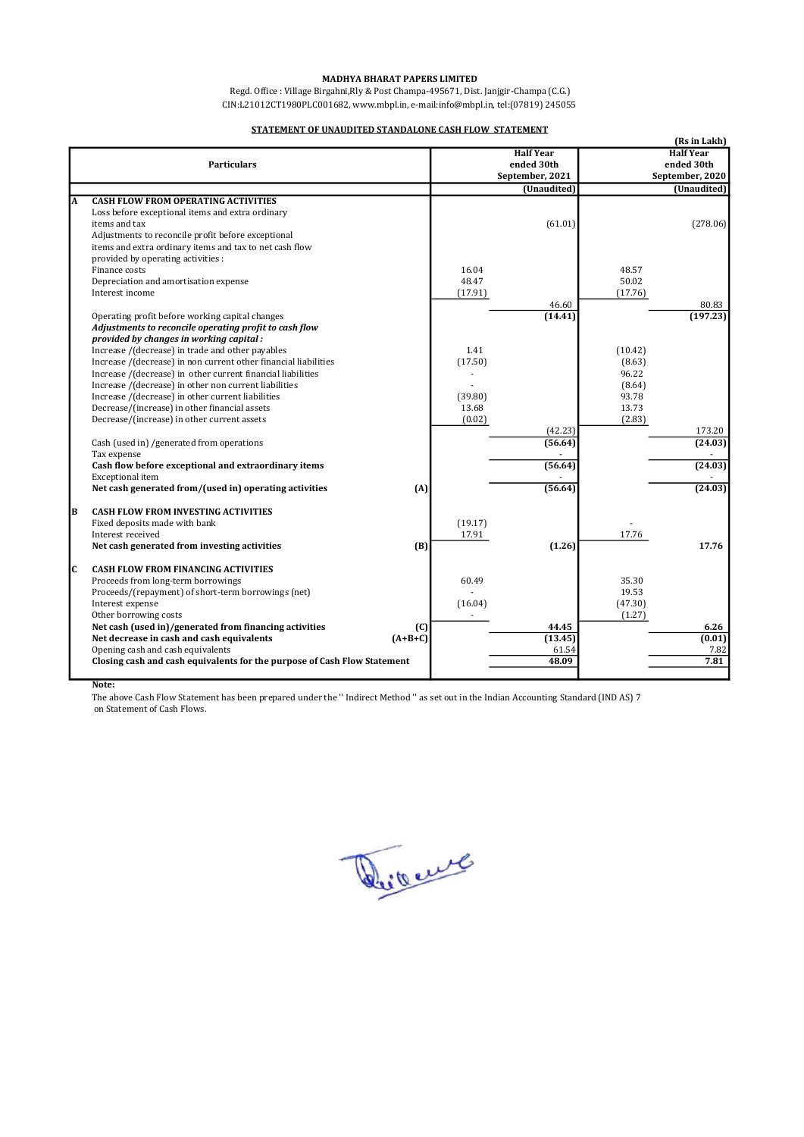#### MADHYA BHARAT PAPERS LIMITED

 Regd. Office : Village Birgahni,Rly & Post Champa-495671, Dist. Janjgir-Champa (C.G.) CIN:L21012CT1980PLC001682, www.mbpl.in, e-mail:info@mbpl.in, tel:(07819) 245055

### STATEMENT OF UNAUDITED STANDALONE CASH FLOW STATEMENT

|     | (Rs in Lakh)                                                             |         |                  |         |                  |  |  |
|-----|--------------------------------------------------------------------------|---------|------------------|---------|------------------|--|--|
|     |                                                                          |         | <b>Half Year</b> |         | <b>Half Year</b> |  |  |
|     | <b>Particulars</b>                                                       |         | ended 30th       |         | ended 30th       |  |  |
|     |                                                                          |         | September, 2021  |         | September, 2020  |  |  |
|     |                                                                          |         | (Unaudited)      |         | (Unaudited)      |  |  |
| A   | <b>CASH FLOW FROM OPERATING ACTIVITIES</b>                               |         |                  |         |                  |  |  |
|     | Loss before exceptional items and extra ordinary                         |         |                  |         |                  |  |  |
|     | items and tax                                                            |         | (61.01)          |         | (278.06)         |  |  |
|     | Adjustments to reconcile profit before exceptional                       |         |                  |         |                  |  |  |
|     | items and extra ordinary items and tax to net cash flow                  |         |                  |         |                  |  |  |
|     | provided by operating activities :                                       |         |                  |         |                  |  |  |
|     | Finance costs                                                            | 16.04   |                  | 48.57   |                  |  |  |
|     | Depreciation and amortisation expense                                    | 48.47   |                  | 50.02   |                  |  |  |
|     | Interest income                                                          | (17.91) |                  | (17.76) |                  |  |  |
|     |                                                                          |         | 46.60            |         | 80.83            |  |  |
|     | Operating profit before working capital changes                          |         | (14.41)          |         | (197.23)         |  |  |
|     | Adjustments to reconcile operating profit to cash flow                   |         |                  |         |                  |  |  |
|     | provided by changes in working capital:                                  |         |                  |         |                  |  |  |
|     | Increase /(decrease) in trade and other payables                         | 1.41    |                  | (10.42) |                  |  |  |
|     | Increase /(decrease) in non current other financial liabilities          | (17.50) |                  | (8.63)  |                  |  |  |
|     | Increase /(decrease) in other current financial liabilities              |         |                  | 96.22   |                  |  |  |
|     |                                                                          |         |                  |         |                  |  |  |
|     | Increase /(decrease) in other non current liabilities                    |         |                  | (8.64)  |                  |  |  |
|     | Increase /(decrease) in other current liabilities                        | (39.80) |                  | 93.78   |                  |  |  |
|     | Decrease/(increase) in other financial assets                            | 13.68   |                  | 13.73   |                  |  |  |
|     | Decrease/(increase) in other current assets                              | (0.02)  |                  | (2.83)  |                  |  |  |
|     |                                                                          |         | (42.23)          |         | 173.20           |  |  |
|     | Cash (used in) /generated from operations                                |         | (56.64)          |         | (24.03)          |  |  |
|     | Tax expense                                                              |         |                  |         |                  |  |  |
|     | Cash flow before exceptional and extraordinary items                     |         | (56.64)          |         | (24.03)          |  |  |
|     | <b>Exceptional</b> item                                                  |         |                  |         |                  |  |  |
|     | Net cash generated from/(used in) operating activities<br>(A)            |         | (56.64)          |         | (24.03)          |  |  |
| B   | <b>CASH FLOW FROM INVESTING ACTIVITIES</b>                               |         |                  |         |                  |  |  |
|     |                                                                          |         |                  |         |                  |  |  |
|     | Fixed deposits made with bank                                            | (19.17) |                  |         |                  |  |  |
|     | Interest received                                                        | 17.91   |                  | 17.76   |                  |  |  |
|     | Net cash generated from investing activities<br>(B)                      |         | (1.26)           |         | 17.76            |  |  |
| lc. | <b>CASH FLOW FROM FINANCING ACTIVITIES</b>                               |         |                  |         |                  |  |  |
|     | Proceeds from long-term borrowings                                       | 60.49   |                  | 35.30   |                  |  |  |
|     | Proceeds/(repayment) of short-term borrowings (net)                      |         |                  | 19.53   |                  |  |  |
|     | Interest expense                                                         | (16.04) |                  | (47.30) |                  |  |  |
|     |                                                                          |         |                  |         |                  |  |  |
|     | Other borrowing costs<br>(C)                                             |         | 44.45            | (1.27)  | 6.26             |  |  |
|     | Net cash (used in)/generated from financing activities<br>$(A+B+C)$      |         |                  |         |                  |  |  |
|     | Net decrease in cash and cash equivalents                                |         | (13.45)          |         | (0.01)           |  |  |
|     | Opening cash and cash equivalents                                        |         | 61.54            |         | 7.82             |  |  |
|     | Closing cash and cash equivalents for the purpose of Cash Flow Statement |         | 48.09            |         | 7.81             |  |  |
|     |                                                                          |         |                  |         |                  |  |  |

Note:

The above Cash Flow Statement has been prepared under the '' Indirect Method '' as set out in the Indian Accounting Standard (IND AS) 7 on Statement of Cash Flows.

Divent